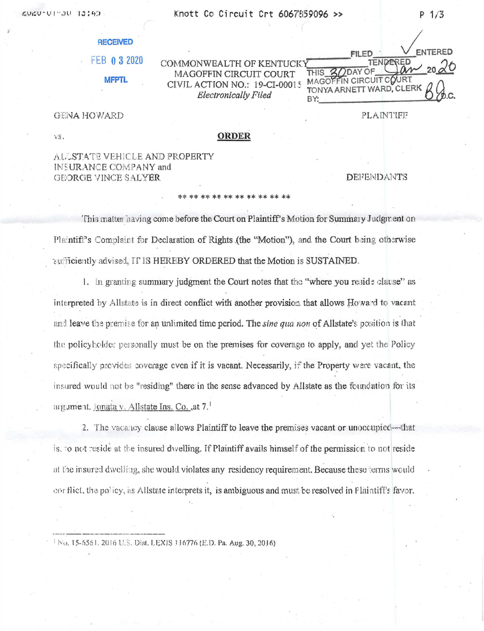CAIST UC-IU-UZU2

**FNTERED** 

 $20$ 

### **RECEIVED**

FEB 0 3 2020

**MFPTL** 

**GENA HOWARD** 

VS.

# **ORDER**

COMMONWEALTH OF KENTUCKY

MAGOFFIN CIRCUIT COURT

CIVIL ACTION NO.: 19-CI-00015

**Electronically Filed** 

ALLSTATE VEHICLE AND PROPERTY **INSURANCE COMPANY and** GEORGE VINCE SALYER

**DEFENDANTS** 

FII FD

MAGOFFIN CIRCUIT COURT

TONYA ARNETT WARD, CLERK

30DAY OF

**THIS** 

BY:

TENDERED

PLAINTIFF

m

This matter having come before the Court on Plaintiff's Motion for Summary Judgment on Plaintifi<sup>3</sup>s Complaint for Declaration of Rights (the "Motion"), and the Court being otherwise sufficiently advised, IT IS HEREBY ORDERED that the Motion is SUSTAINED.

1. In granting summary judgment the Court notes that the "where you reside clause" as interpreted by Allstate is in direct conflict with another provision that allows Howard to vacant and leave the premise for an unlimited time period. The *sine qua non* of Allstate's position is that the policy holder personally must be on the premises for coverage to apply, and yet the Policy specifically provides coverage even if it is vacant. Necessarily, if the Property were vacant, the insured would not be "residing" there in the sense advanced by Allstate as the foundation for its argument, Jonata v. Allstate Ins. Co., at 7.

2. The vacancy clause allows Plaintiff to leave the premises vacant or unoccupicd—that is, to not reside at the insured dwelling. If Plaintiff avails himself of the permission to not reside at the insured dwelling, she would violates any residency requirement. Because these terms would conflict, the policy, as Allstate interprets it, is ambiguous and must be resolved in Plaintiff's favor.

<sup>1</sup> No. 15-6561, 2016 U.S. Dist. LEXIS 116776 (E.D. Pa. Aug. 30, 2016)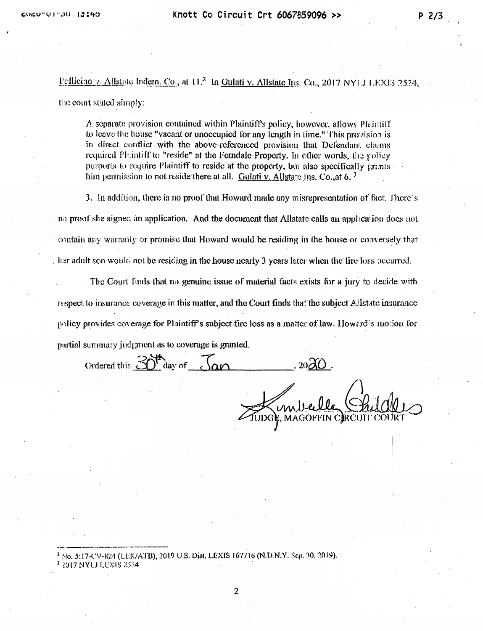Pollicino v. Ailstate Indem. Co., at  $11<sup>2</sup>$  In Gulati v. Allstate Ins. Co., 2017 NY(J LEXIS 2524, the court stated simply:

A separate provision contained within Plaintiff's policy, however, allows Plaintiff to leave the house "vacant or unoccupied for any length in time." This provision is in direct conflict with the above-referenced provision that Defendant claims required Plaintiff to "reside" at the Ferndale Property. In other words, the noticy purports to require Plaintiff to reside at the property, but also specifically grants. him permission to not reside there at all. Gulati v. Allstare Ins. Co., at 6,  $<sup>3</sup>$ </sup>

3. In addition, there is no proof that Howard made any misrepresentation of fact. There's no proof she signed an application. And the document that Allstate calls an application does not contain any warranty or promise that Howard would be residing in the house or conversely that her adult son would not be residing in the house nearly 3 years later when the fire loss occurred.

The Court finds that no genuine issue of material facts exists for a jury to decide with respect to insurance coverage in this matter, and the Court finds that the subject Allstate insurance policy provides coverage for Plaintiff's subject fire loss as a matter of law. Howard's motion for partial summary judgment as to coverage is granted.

Ordered this 30<sup>th</sup> day of San

 $\mathcal{U}^{\Lambda}$ IDGE. MAGOFFIN C

No. 5:17-CV-824 (LEK/ATB), 2019 U.S. Dist, LEXIS 167716 (N.D.N.Y. Sep. 30, 2019). <sup>3</sup> 2017 NYLJ LEXIS 2524

 $\overline{2}$